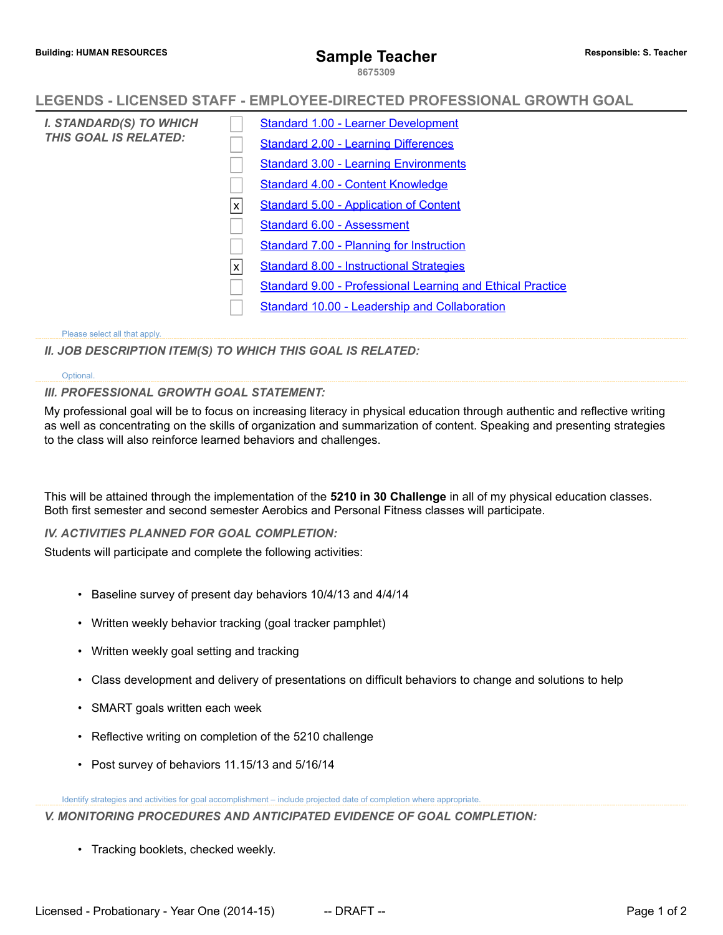**8675309**

## **LEGENDS - LICENSED STAFF - EMPLOYEE-DIRECTED PROFESSIONAL GROWTH GOAL**

| I. STANDARD(S) TO WHICH<br><b>THIS GOAL IS RELATED:</b> |   | <b>Standard 1.00 - Learner Development</b>                        |
|---------------------------------------------------------|---|-------------------------------------------------------------------|
|                                                         |   | <b>Standard 2.00 - Learning Differences</b>                       |
|                                                         |   | <b>Standard 3.00 - Learning Environments</b>                      |
|                                                         |   | Standard 4.00 - Content Knowledge                                 |
|                                                         | X | Standard 5.00 - Application of Content                            |
|                                                         |   | Standard 6.00 - Assessment                                        |
|                                                         |   | Standard 7.00 - Planning for Instruction                          |
|                                                         | X | <b>Standard 8.00 - Instructional Strategies</b>                   |
|                                                         |   | <b>Standard 9.00 - Professional Learning and Ethical Practice</b> |
|                                                         |   | Standard 10.00 - Leadership and Collaboration                     |
|                                                         |   |                                                                   |

#### Please select all that apply.

*II. JOB DESCRIPTION ITEM(S) TO WHICH THIS GOAL IS RELATED:*

#### Optional.

### *III. PROFESSIONAL GROWTH GOAL STATEMENT:*

My professional goal will be to focus on increasing literacy in physical education through authentic and reflective writing as well as concentrating on the skills of organization and summarization of content. Speaking and presenting strategies to the class will also reinforce learned behaviors and challenges.

This will be attained through the implementation of the **5210 in 30 Challenge** in all of my physical education classes. Both first semester and second semester Aerobics and Personal Fitness classes will participate.

*IV. ACTIVITIES PLANNED FOR GOAL COMPLETION:*

Students will participate and complete the following activities:

- Baseline survey of present day behaviors 10/4/13 and 4/4/14
- Written weekly behavior tracking (goal tracker pamphlet)
- Written weekly goal setting and tracking
- Class development and delivery of presentations on difficult behaviors to change and solutions to help
- SMART goals written each week
- Reflective writing on completion of the 5210 challenge
- Post survey of behaviors 11.15/13 and 5/16/14

Identify strategies and activities for goal accomplishment – include projected date of completion where appropriate. *V. MONITORING PROCEDURES AND ANTICIPATED EVIDENCE OF GOAL COMPLETION:*

• Tracking booklets, checked weekly.